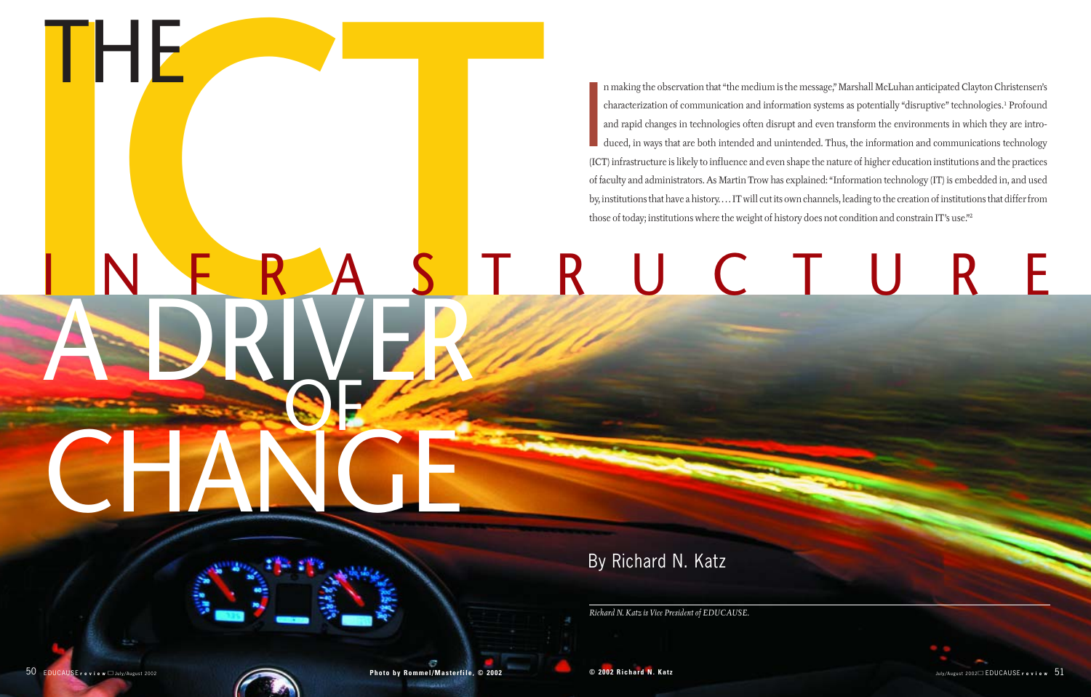

By Richard N. Katz

THE



*Richard N. Katz is Vice President of EDUCAUSE.*

In making the observation that "the medium is the message," Marshall McLuhan anticipated Clayton Christensen's<br>characterization of communication and information systems as potentially "disruptive" technologies.<sup>1</sup> Profound n making the observation that "the medium is the message," Marshall McLuhan anticipated Clayton Christensen's characterization of communication and information systems as potentially "disruptive" technologies.1 Profound and rapid changes in technologies often disrupt and even transform the environments in which they are introduced, in ways that are both intended and unintended. Thus, the information and communications technology of faculty and administrators. As Martin Trow has explained: "Information technology (IT) is embedded in, and used by, institutions that have a history. . . . IT will cut its own channels, leading to the creation of institutions that differ from those of today; institutions where the weight of history does not condition and constrain IT's use."2

IFF<br>NERAST<br>ADRIVER A DRIVER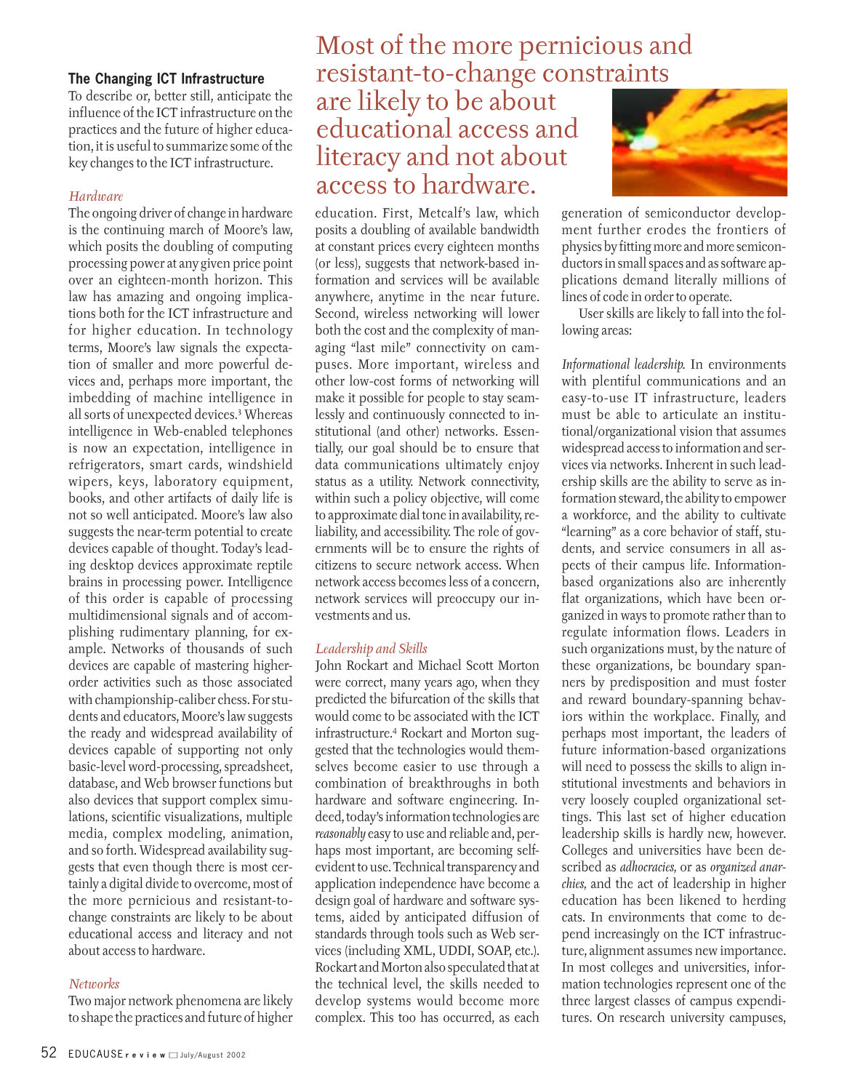### **The Changing ICT Infrastructure**

To describe or, better still, anticipate the influence of the ICT infrastructure on the practices and the future of higher education, it is useful to summarize some of the key changes to the ICT infrastructure.

### *Hardware*

The ongoing driver of change in hardware is the continuing march of Moore's law, which posits the doubling of computing processing power at any given price point over an eighteen-month horizon. This law has amazing and ongoing implications both for the ICT infrastructure and for higher education. In technology terms, Moore's law signals the expectation of smaller and more powerful devices and, perhaps more important, the imbedding of machine intelligence in all sorts of unexpected devices.3 Whereas intelligence in Web-enabled telephones is now an expectation, intelligence in refrigerators, smart cards, windshield wipers, keys, laboratory equipment, books, and other artifacts of daily life is not so well anticipated. Moore's law also suggests the near-term potential to create devices capable of thought. Today's leading desktop devices approximate reptile brains in processing power. Intelligence of this order is capable of processing multidimensional signals and of accomplishing rudimentary planning, for example. Networks of thousands of such devices are capable of mastering higherorder activities such as those associated with championship-caliber chess. For students and educators, Moore's law suggests the ready and widespread availability of devices capable of supporting not only basic-level word-processing, spreadsheet, database, and Web browser functions but also devices that support complex simulations, scientific visualizations, multiple media, complex modeling, animation, and so forth. Widespread availability suggests that even though there is most certainly a digital divide to overcome, most of the more pernicious and resistant-tochange constraints are likely to be about educational access and literacy and not about access to hardware.

### *Networks*

Two major network phenomena are likely to shape the practices and future of higher

# Most of the more pernicious and resistant-to-change constraints

### are likely to be about educational access and literacy and not about access to hardware.

education. First, Metcalf's law, which posits a doubling of available bandwidth at constant prices every eighteen months (or less), suggests that network-based information and services will be available anywhere, anytime in the near future. Second, wireless networking will lower both the cost and the complexity of managing "last mile" connectivity on campuses. More important, wireless and other low-cost forms of networking will make it possible for people to stay seamlessly and continuously connected to institutional (and other) networks. Essentially, our goal should be to ensure that data communications ultimately enjoy status as a utility. Network connectivity, within such a policy objective, will come to approximate dial tone in availability, reliability, and accessibility. The role of governments will be to ensure the rights of citizens to secure network access. When network access becomes less of a concern, network services will preoccupy our investments and us.

### *Leadership and Skills*

John Rockart and Michael Scott Morton were correct, many years ago, when they predicted the bifurcation of the skills that would come to be associated with the ICT infrastructure.4 Rockart and Morton suggested that the technologies would themselves become easier to use through a combination of breakthroughs in both hardware and software engineering. Indeed, today's information technologies are *reasonably* easy to use and reliable and, perhaps most important, are becoming selfevident to use. Technical transparency and application independence have become a design goal of hardware and software systems, aided by anticipated diffusion of standards through tools such as Web services (including XML, UDDI, SOAP, etc.). Rockart and Morton also speculated that at the technical level, the skills needed to develop systems would become more complex. This too has occurred, as each



generation of semiconductor development further erodes the frontiers of physics by fitting more and more semiconductors in small spaces and as software applications demand literally millions of lines of code in order to operate.

User skills are likely to fall into the following areas:

*Informational leadership.* In environments with plentiful communications and an easy-to-use IT infrastructure, leaders must be able to articulate an institutional/organizational vision that assumes widespread access to information and services via networks. Inherent in such leadership skills are the ability to serve as information steward, the ability to empower a workforce, and the ability to cultivate "learning" as a core behavior of staff, students, and service consumers in all aspects of their campus life. Informationbased organizations also are inherently flat organizations, which have been organized in ways to promote rather than to regulate information flows. Leaders in such organizations must, by the nature of these organizations, be boundary spanners by predisposition and must foster and reward boundary-spanning behaviors within the workplace. Finally, and perhaps most important, the leaders of future information-based organizations will need to possess the skills to align institutional investments and behaviors in very loosely coupled organizational settings. This last set of higher education leadership skills is hardly new, however. Colleges and universities have been described as *adhocracies,* or as *organized anarchies,* and the act of leadership in higher education has been likened to herding cats. In environments that come to depend increasingly on the ICT infrastructure, alignment assumes new importance. In most colleges and universities, information technologies represent one of the three largest classes of campus expenditures. On research university campuses,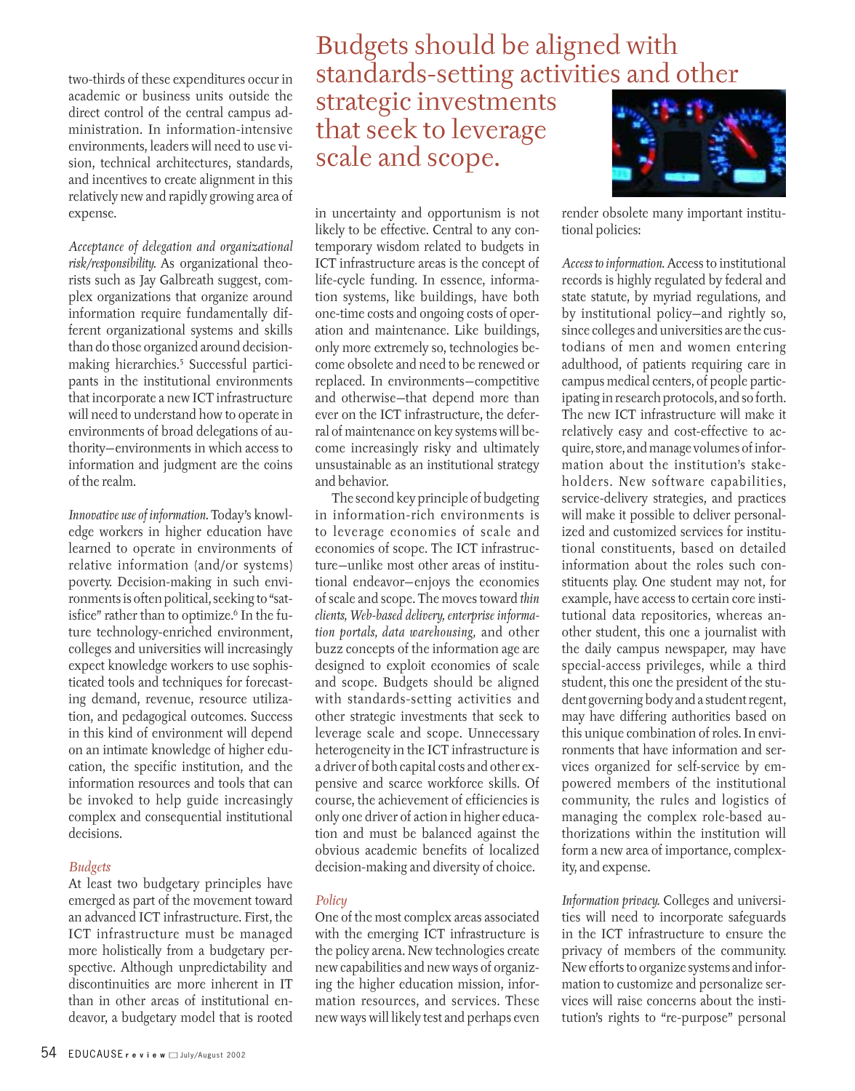two-thirds of these expenditures occur in academic or business units outside the direct control of the central campus administration. In information-intensive environments, leaders will need to use vision, technical architectures, standards, and incentives to create alignment in this relatively new and rapidly growing area of expense.

*Acceptance of delegation and organizational risk/responsibility.* As organizational theorists such as Jay Galbreath suggest, complex organizations that organize around information require fundamentally different organizational systems and skills than do those organized around decisionmaking hierarchies.5 Successful participants in the institutional environments that incorporate a new ICT infrastructure will need to understand how to operate in environments of broad delegations of authority—environments in which access to information and judgment are the coins of the realm.

*Innovative use of information.* Today's knowledge workers in higher education have learned to operate in environments of relative information (and/or systems) poverty. Decision-making in such environments is often political, seeking to "satisfice" rather than to optimize.<sup>6</sup> In the future technology-enriched environment, colleges and universities will increasingly expect knowledge workers to use sophisticated tools and techniques for forecasting demand, revenue, resource utilization, and pedagogical outcomes. Success in this kind of environment will depend on an intimate knowledge of higher education, the specific institution, and the information resources and tools that can be invoked to help guide increasingly complex and consequential institutional decisions.

### *Budgets*

At least two budgetary principles have emerged as part of the movement toward an advanced ICT infrastructure. First, the ICT infrastructure must be managed more holistically from a budgetary perspective. Although unpredictability and discontinuities are more inherent in IT than in other areas of institutional endeavor, a budgetary model that is rooted

### Budgets should be aligned with standards-setting activities and other

## strategic investments that seek to leverage scale and scope.

in uncertainty and opportunism is not likely to be effective. Central to any contemporary wisdom related to budgets in ICT infrastructure areas is the concept of life-cycle funding. In essence, information systems, like buildings, have both one-time costs and ongoing costs of operation and maintenance. Like buildings, only more extremely so, technologies become obsolete and need to be renewed or replaced. In environments—competitive and otherwise—that depend more than ever on the ICT infrastructure, the deferral of maintenance on key systems will become increasingly risky and ultimately unsustainable as an institutional strategy and behavior.

The second key principle of budgeting in information-rich environments is to leverage economies of scale and economies of scope. The ICT infrastructure—unlike most other areas of institutional endeavor—enjoys the economies of scale and scope. The moves toward *thin clients, Web-based delivery, enterprise information portals, data warehousing,* and other buzz concepts of the information age are designed to exploit economies of scale and scope. Budgets should be aligned with standards-setting activities and other strategic investments that seek to leverage scale and scope. Unnecessary heterogeneity in the ICT infrastructure is a driver of both capital costs and other expensive and scarce workforce skills. Of course, the achievement of efficiencies is only one driver of action in higher education and must be balanced against the obvious academic benefits of localized decision-making and diversity of choice.

### *Policy*

One of the most complex areas associated with the emerging ICT infrastructure is the policy arena. New technologies create new capabilities and new ways of organizing the higher education mission, information resources, and services. These new ways will likely test and perhaps even



render obsolete many important institutional policies:

*Access to information.* Access to institutional records is highly regulated by federal and state statute, by myriad regulations, and by institutional policy—and rightly so, since colleges and universities are the custodians of men and women entering adulthood, of patients requiring care in campus medical centers, of people participating in research protocols, and so forth. The new ICT infrastructure will make it relatively easy and cost-effective to acquire, store, and manage volumes of information about the institution's stakeholders. New software capabilities, service-delivery strategies, and practices will make it possible to deliver personalized and customized services for institutional constituents, based on detailed information about the roles such constituents play. One student may not, for example, have access to certain core institutional data repositories, whereas another student, this one a journalist with the daily campus newspaper, may have special-access privileges, while a third student, this one the president of the student governing body and a student regent, may have differing authorities based on this unique combination of roles. In environments that have information and services organized for self-service by empowered members of the institutional community, the rules and logistics of managing the complex role-based authorizations within the institution will form a new area of importance, complexity, and expense.

*Information privacy.* Colleges and universities will need to incorporate safeguards in the ICT infrastructure to ensure the privacy of members of the community. New efforts to organize systems and information to customize and personalize services will raise concerns about the institution's rights to "re-purpose" personal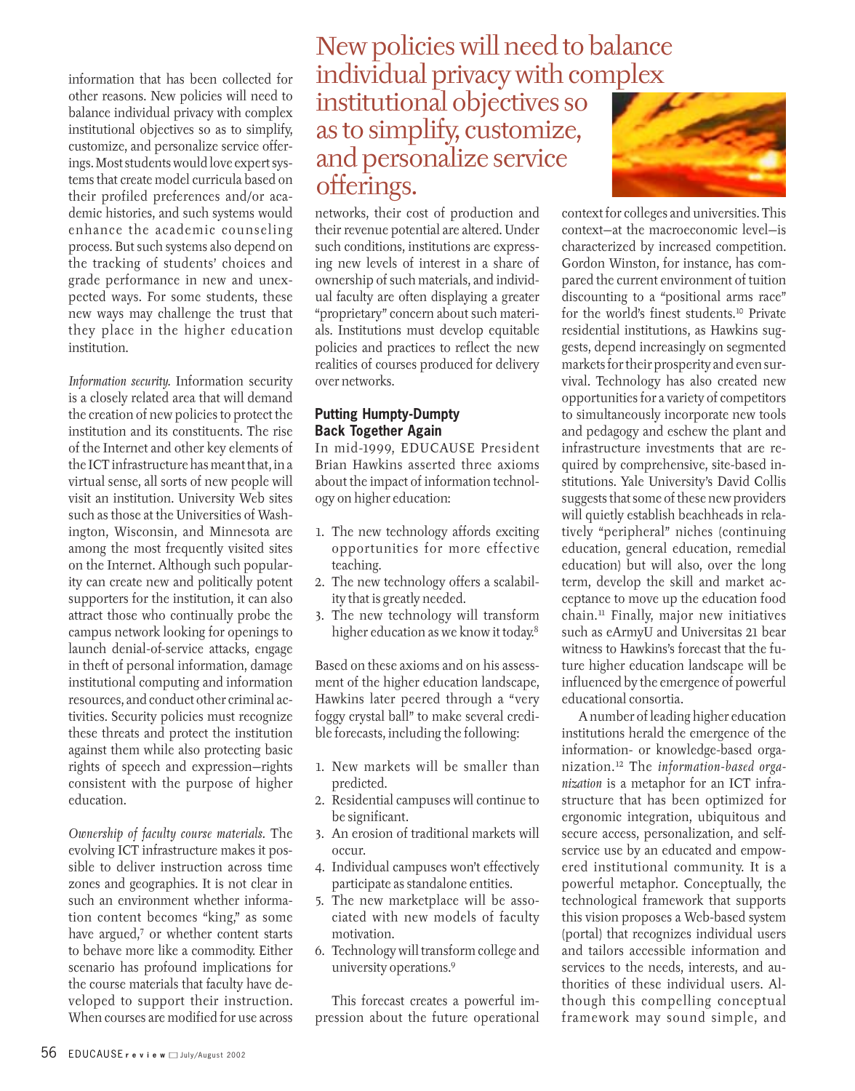information that has been collected for other reasons. New policies will need to balance individual privacy with complex institutional objectives so as to simplify, customize, and personalize service offerings. Most students would love expert systems that create model curricula based on their profiled preferences and/or academic histories, and such systems would enhance the academic counseling process. But such systems also depend on the tracking of students' choices and grade performance in new and unexpected ways. For some students, these new ways may challenge the trust that they place in the higher education institution.

*Information security.* Information security is a closely related area that will demand the creation of new policies to protect the institution and its constituents. The rise of the Internet and other key elements of the ICT infrastructure has meant that, in a virtual sense, all sorts of new people will visit an institution. University Web sites such as those at the Universities of Washington, Wisconsin, and Minnesota are among the most frequently visited sites on the Internet. Although such popularity can create new and politically potent supporters for the institution, it can also attract those who continually probe the campus network looking for openings to launch denial-of-service attacks, engage in theft of personal information, damage institutional computing and information resources, and conduct other criminal activities. Security policies must recognize these threats and protect the institution against them while also protecting basic rights of speech and expression—rights consistent with the purpose of higher education.

*Ownership of faculty course materials.* The evolving ICT infrastructure makes it possible to deliver instruction across time zones and geographies. It is not clear in such an environment whether information content becomes "king," as some have argued,<sup>7</sup> or whether content starts to behave more like a commodity. Either scenario has profound implications for the course materials that faculty have developed to support their instruction. When courses are modified for use across

### New policies will need to balance individual privacy with complex institutional objectives so as to simplify, customize, and personalize service offerings.

networks, their cost of production and their revenue potential are altered. Under such conditions, institutions are expressing new levels of interest in a share of ownership of such materials, and individual faculty are often displaying a greater "proprietary" concern about such materials. Institutions must develop equitable policies and practices to reflect the new realities of courses produced for delivery over networks.

### **Putting Humpty-Dumpty Back Together Again**

In mid-1999, EDUCAUSE President Brian Hawkins asserted three axioms about the impact of information technology on higher education:

- 1. The new technology affords exciting opportunities for more effective teaching.
- 2. The new technology offers a scalability that is greatly needed.
- 3. The new technology will transform higher education as we know it today.<sup>8</sup>

Based on these axioms and on his assessment of the higher education landscape, Hawkins later peered through a "very foggy crystal ball" to make several credible forecasts, including the following:

- 1. New markets will be smaller than predicted.
- 2. Residential campuses will continue to be significant.
- 3. An erosion of traditional markets will occur.
- 4. Individual campuses won't effectively participate as standalone entities.
- 5. The new marketplace will be associated with new models of faculty motivation.
- 6. Technology will transform college and university operations.9

This forecast creates a powerful impression about the future operational



context for colleges and universities. This context—at the macroeconomic level—is characterized by increased competition. Gordon Winston, for instance, has compared the current environment of tuition discounting to a "positional arms race" for the world's finest students.10 Private residential institutions, as Hawkins suggests, depend increasingly on segmented markets for their prosperity and even survival. Technology has also created new opportunities for a variety of competitors to simultaneously incorporate new tools and pedagogy and eschew the plant and infrastructure investments that are required by comprehensive, site-based institutions. Yale University's David Collis suggests that some of these new providers will quietly establish beachheads in relatively "peripheral" niches (continuing education, general education, remedial education) but will also, over the long term, develop the skill and market acceptance to move up the education food chain.11 Finally, major new initiatives such as eArmyU and Universitas 21 bear witness to Hawkins's forecast that the future higher education landscape will be influenced by the emergence of powerful educational consortia.

A number of leading higher education institutions herald the emergence of the information- or knowledge-based organization.12 The *information-based organization* is a metaphor for an ICT infrastructure that has been optimized for ergonomic integration, ubiquitous and secure access, personalization, and selfservice use by an educated and empowered institutional community. It is a powerful metaphor. Conceptually, the technological framework that supports this vision proposes a Web-based system (portal) that recognizes individual users and tailors accessible information and services to the needs, interests, and authorities of these individual users. Although this compelling conceptual framework may sound simple, and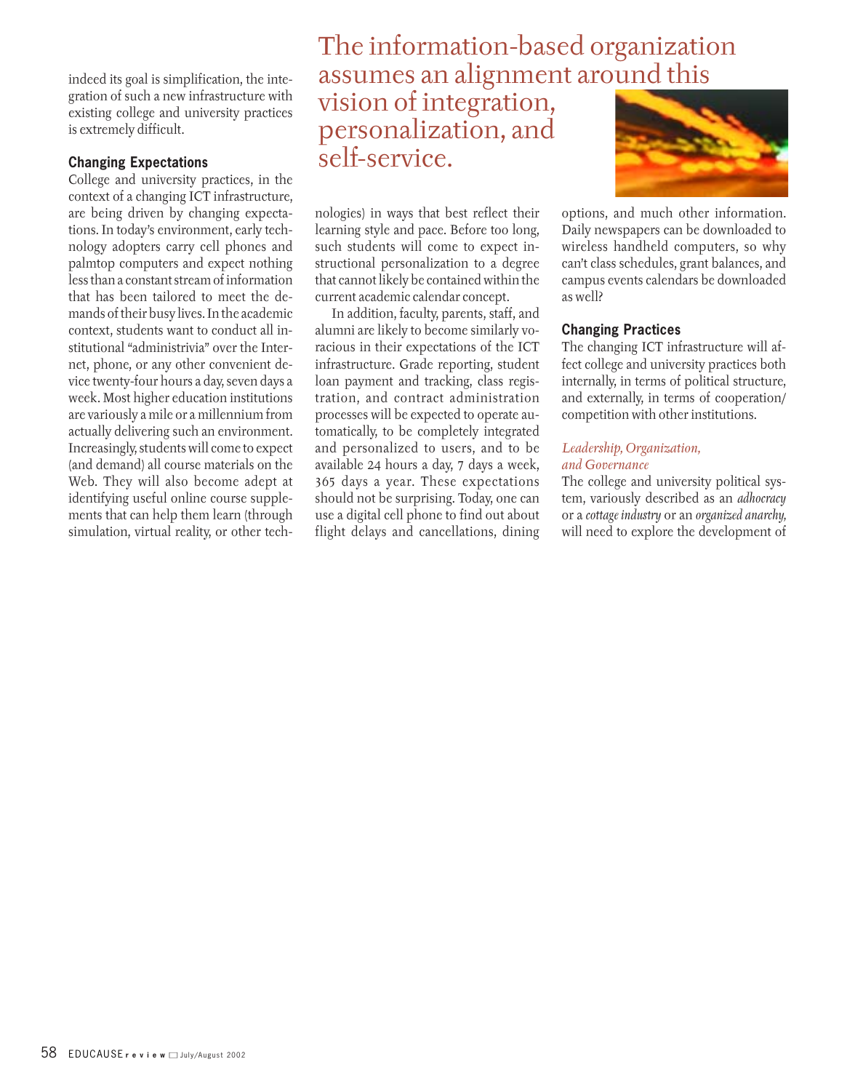indeed its goal is simplification, the integration of such a new infrastructure with existing college and university practices is extremely difficult.

### **Changing Expectations**

College and university practices, in the context of a changing ICT infrastructure, are being driven by changing expectations. In today's environment, early technology adopters carry cell phones and palmtop computers and expect nothing less than a constant stream of information that has been tailored to meet the demands of their busy lives. In the academic context, students want to conduct all institutional "administrivia" over the Internet, phone, or any other convenient device twenty-four hours a day, seven days a week. Most higher education institutions are variously a mile or a millennium from actually delivering such an environment. Increasingly, students will come to expect (and demand) all course materials on the Web. They will also become adept at identifying useful online course supplements that can help them learn (through simulation, virtual reality, or other tech-

### The information-based organization assumes an alignment around this

vision of integration, personalization, and self-service.

nologies) in ways that best reflect their learning style and pace. Before too long, such students will come to expect instructional personalization to a degree that cannot likely be contained within the current academic calendar concept.

In addition, faculty, parents, staff, and alumni are likely to become similarly voracious in their expectations of the ICT infrastructure. Grade reporting, student loan payment and tracking, class registration, and contract administration processes will be expected to operate automatically, to be completely integrated and personalized to users, and to be available 24 hours a day, 7 days a week, 365 days a year. These expectations should not be surprising. Today, one can use a digital cell phone to find out about flight delays and cancellations, dining



options, and much other information. Daily newspapers can be downloaded to wireless handheld computers, so why can't class schedules, grant balances, and campus events calendars be downloaded as well?

### **Changing Practices**

The changing ICT infrastructure will affect college and university practices both internally, in terms of political structure, and externally, in terms of cooperation/ competition with other institutions.

### *Leadership, Organization, and Governance*

The college and university political system, variously described as an *adhocracy* or a *cottage industry* or an *organized anarchy,* will need to explore the development of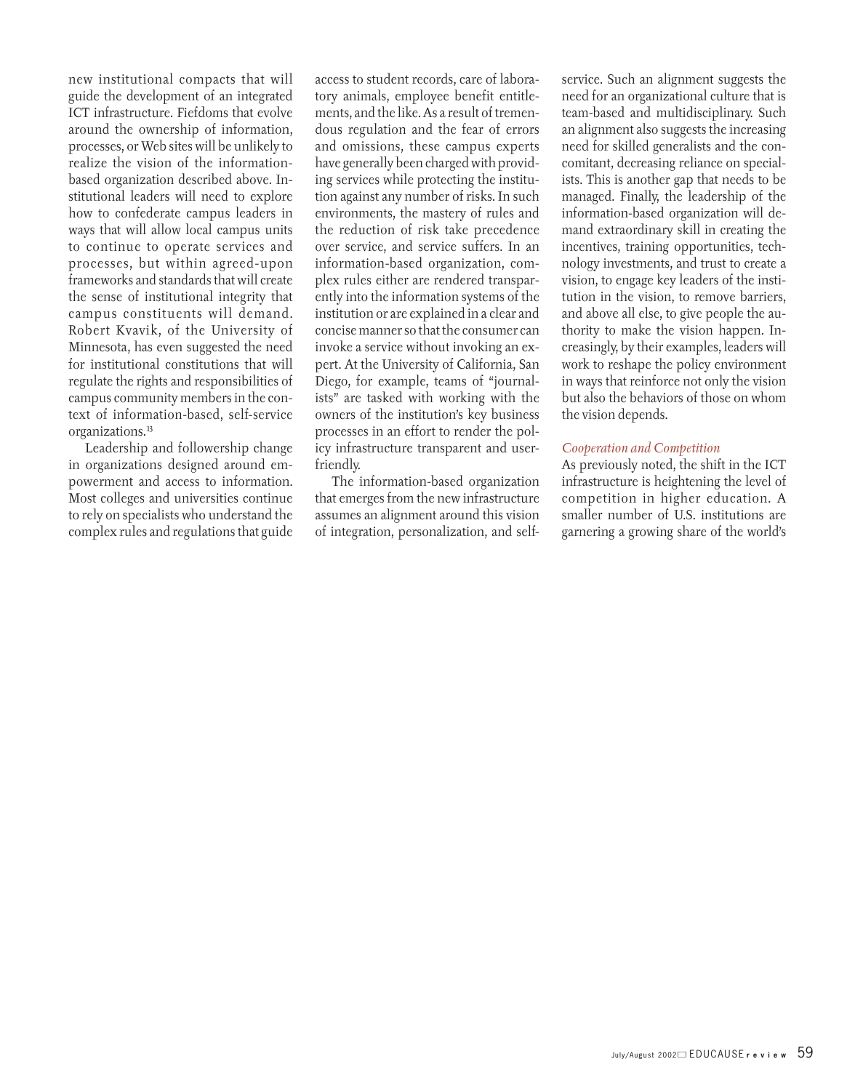new institutional compacts that will guide the development of an integrated ICT infrastructure. Fiefdoms that evolve around the ownership of information, processes, or Web sites will be unlikely to realize the vision of the informationbased organization described above. Institutional leaders will need to explore how to confederate campus leaders in ways that will allow local campus units to continue to operate services and processes, but within agreed-upon frameworks and standards that will create the sense of institutional integrity that campus constituents will demand. Robert Kvavik, of the University of Minnesota, has even suggested the need for institutional constitutions that will regulate the rights and responsibilities of campus community members in the context of information-based, self-service organizations.13

Leadership and followership change in organizations designed around empowerment and access to information. Most colleges and universities continue to rely on specialists who understand the complex rules and regulations that guide

access to student records, care of laboratory animals, employee benefit entitlements, and the like. As a result of tremendous regulation and the fear of errors and omissions, these campus experts have generally been charged with providing services while protecting the institution against any number of risks. In such environments, the mastery of rules and the reduction of risk take precedence over service, and service suffers. In an information-based organization, complex rules either are rendered transparently into the information systems of the institution or are explained in a clear and concise manner so that the consumer can invoke a service without invoking an expert. At the University of California, San Diego, for example, teams of "journalists" are tasked with working with the owners of the institution's key business processes in an effort to render the policy infrastructure transparent and userfriendly.

The information-based organization that emerges from the new infrastructure assumes an alignment around this vision of integration, personalization, and self-

service. Such an alignment suggests the need for an organizational culture that is team-based and multidisciplinary. Such an alignment also suggests the increasing need for skilled generalists and the concomitant, decreasing reliance on specialists. This is another gap that needs to be managed. Finally, the leadership of the information-based organization will demand extraordinary skill in creating the incentives, training opportunities, technology investments, and trust to create a vision, to engage key leaders of the institution in the vision, to remove barriers, and above all else, to give people the authority to make the vision happen. Increasingly, by their examples, leaders will work to reshape the policy environment in ways that reinforce not only the vision but also the behaviors of those on whom the vision depends.

### *Cooperation and Competition*

As previously noted, the shift in the ICT infrastructure is heightening the level of competition in higher education. A smaller number of U.S. institutions are garnering a growing share of the world's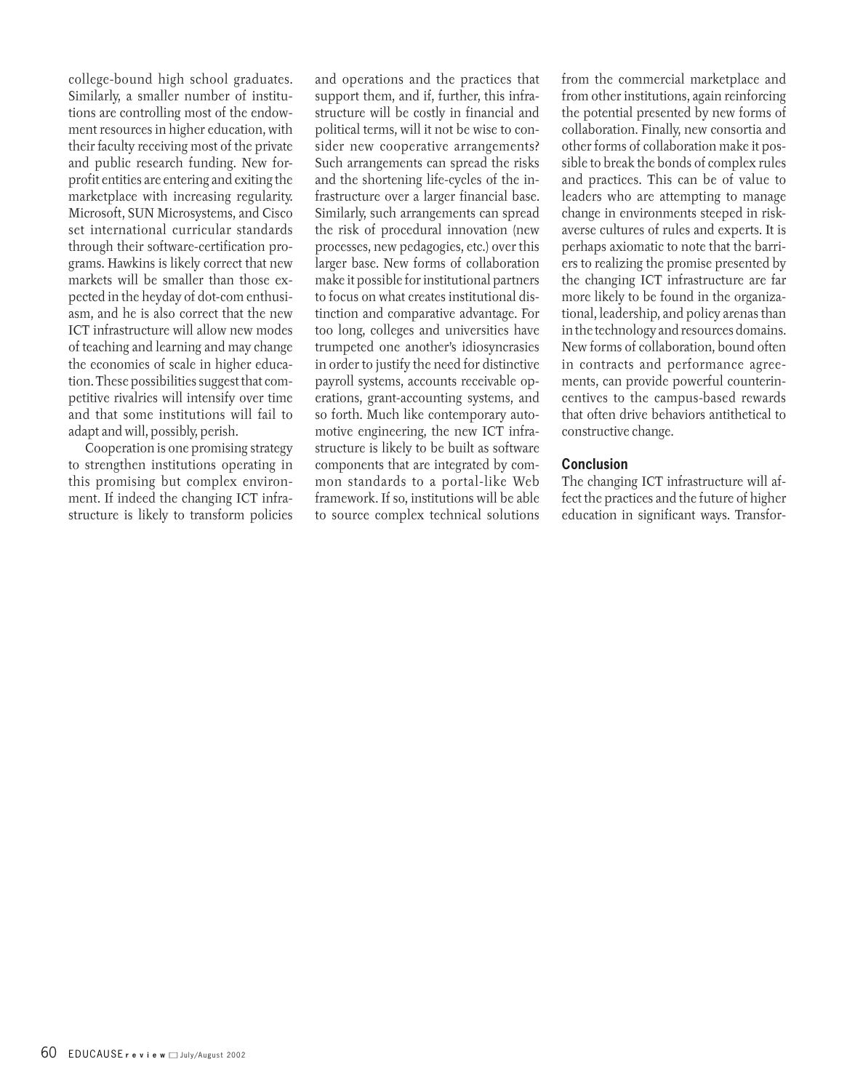college-bound high school graduates. Similarly, a smaller number of institutions are controlling most of the endowment resources in higher education, with their faculty receiving most of the private and public research funding. New forprofit entities are entering and exiting the marketplace with increasing regularity. Microsoft, SUN Microsystems, and Cisco set international curricular standards through their software-certification programs. Hawkins is likely correct that new markets will be smaller than those expected in the heyday of dot-com enthusiasm, and he is also correct that the new ICT infrastructure will allow new modes of teaching and learning and may change the economies of scale in higher education. These possibilities suggest that competitive rivalries will intensify over time and that some institutions will fail to adapt and will, possibly, perish.

Cooperation is one promising strategy to strengthen institutions operating in this promising but complex environment. If indeed the changing ICT infrastructure is likely to transform policies and operations and the practices that support them, and if, further, this infrastructure will be costly in financial and political terms, will it not be wise to consider new cooperative arrangements? Such arrangements can spread the risks and the shortening life-cycles of the infrastructure over a larger financial base. Similarly, such arrangements can spread the risk of procedural innovation (new processes, new pedagogies, etc.) over this larger base. New forms of collaboration make it possible for institutional partners to focus on what creates institutional distinction and comparative advantage. For too long, colleges and universities have trumpeted one another's idiosyncrasies in order to justify the need for distinctive payroll systems, accounts receivable operations, grant-accounting systems, and so forth. Much like contemporary automotive engineering, the new ICT infrastructure is likely to be built as software components that are integrated by common standards to a portal-like Web framework. If so, institutions will be able to source complex technical solutions from the commercial marketplace and from other institutions, again reinforcing the potential presented by new forms of collaboration. Finally, new consortia and other forms of collaboration make it possible to break the bonds of complex rules and practices. This can be of value to leaders who are attempting to manage change in environments steeped in riskaverse cultures of rules and experts. It is perhaps axiomatic to note that the barriers to realizing the promise presented by the changing ICT infrastructure are far more likely to be found in the organizational, leadership, and policy arenas than in the technology and resources domains. New forms of collaboration, bound often in contracts and performance agreements, can provide powerful counterincentives to the campus-based rewards that often drive behaviors antithetical to constructive change.

### **Conclusion**

The changing ICT infrastructure will affect the practices and the future of higher education in significant ways. Transfor